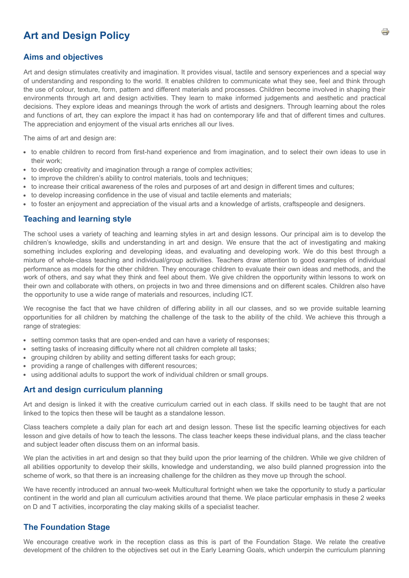# **Art and Design Policy**

#### **Aims and objectives**

Art and design stimulates creativity and imagination. It provides visual, tactile and sensory experiences and a special way of understanding and responding to the world. It enables children to communicate what they see, feel and think through the use of colour, texture, form, pattern and different materials and processes. Children become involved in shaping their environments through art and design activities. They learn to make informed judgements and aesthetic and practical decisions. They explore ideas and meanings through the work of artists and designers. Through learning about the roles and functions of art, they can explore the impact it has had on contemporary life and that of different times and cultures. The appreciation and enjoyment of the visual arts enriches all our lives.

The aims of art and design are:

- to enable children to record from first-hand experience and from imagination, and to select their own ideas to use in their work;
- to develop creativity and imagination through a range of complex activities;
- to improve the children's ability to control materials, tools and techniques;
- to increase their critical awareness of the roles and purposes of art and design in different times and cultures;
- to develop increasing confidence in the use of visual and tactile elements and materials;
- to foster an enjoyment and appreciation of the visual arts and a knowledge of artists, craftspeople and designers.

#### **Teaching and learning style**

The school uses a variety of teaching and learning styles in art and design lessons. Our principal aim is to develop the children's knowledge, skills and understanding in art and design. We ensure that the act of investigating and making something includes exploring and developing ideas, and evaluating and developing work. We do this best through a mixture of whole-class teaching and individual/group activities. Teachers draw attention to good examples of individual performance as models for the other children. They encourage children to evaluate their own ideas and methods, and the work of others, and say what they think and feel about them. We give children the opportunity within lessons to work on their own and collaborate with others, on projects in two and three dimensions and on different scales. Children also have the opportunity to use a wide range of materials and resources, including ICT.

We recognise the fact that we have children of differing ability in all our classes, and so we provide suitable learning opportunities for all children by matching the challenge of the task to the ability of the child. We achieve this through a range of strategies:

- setting common tasks that are open-ended and can have a variety of responses;
- setting tasks of increasing difficulty where not all children complete all tasks;
- grouping children by ability and setting different tasks for each group;
- providing a range of challenges with different resources;
- using additional adults to support the work of individual children or small groups.

#### **Art and design curriculum planning**

Art and design is linked it with the creative curriculum carried out in each class. If skills need to be taught that are not linked to the topics then these will be taught as a standalone lesson.

Class teachers complete a daily plan for each art and design lesson. These list the specific learning objectives for each lesson and give details of how to teach the lessons. The class teacher keeps these individual plans, and the class teacher and subject leader often discuss them on an informal basis.

We plan the activities in art and design so that they build upon the prior learning of the children. While we give children of all abilities opportunity to develop their skills, knowledge and understanding, we also build planned progression into the scheme of work, so that there is an increasing challenge for the children as they move up through the school.

We have recently introduced an annual two-week Multicultural fortnight when we take the opportunity to study a particular continent in the world and plan all curriculum activities around that theme. We place particular emphasis in these 2 weeks on D and T activities, incorporating the clay making skills of a specialist teacher.

## **The Foundation Stage**

We encourage creative work in the reception class as this is part of the Foundation Stage. We relate the creative development of the children to the objectives set out in the Early Learning Goals, which underpin the curriculum planning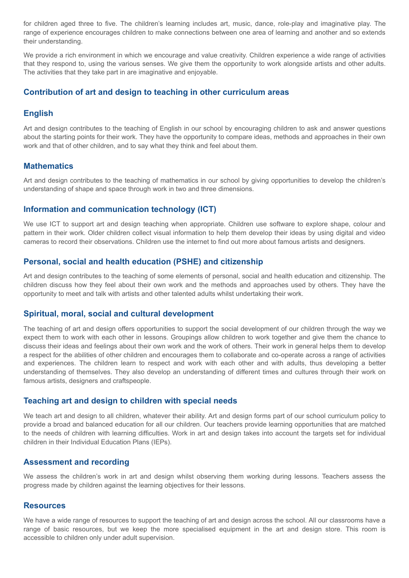for children aged three to five. The children's learning includes art, music, dance, role-play and imaginative play. The range of experience encourages children to make connections between one area of learning and another and so extends their understanding.

We provide a rich environment in which we encourage and value creativity. Children experience a wide range of activities that they respond to, using the various senses. We give them the opportunity to work alongside artists and other adults. The activities that they take part in are imaginative and enjoyable.

## **Contribution of art and design to teaching in other curriculum areas**

## **English**

Art and design contributes to the teaching of English in our school by encouraging children to ask and answer questions about the starting points for their work. They have the opportunity to compare ideas, methods and approaches in their own work and that of other children, and to say what they think and feel about them.

## **Mathematics**

Art and design contributes to the teaching of mathematics in our school by giving opportunities to develop the children's understanding of shape and space through work in two and three dimensions.

## **Information and communication technology (ICT)**

We use ICT to support art and design teaching when appropriate. Children use software to explore shape, colour and pattern in their work. Older children collect visual information to help them develop their ideas by using digital and video cameras to record their observations. Children use the internet to find out more about famous artists and designers.

## **Personal, social and health education (PSHE) and citizenship**

Art and design contributes to the teaching of some elements of personal, social and health education and citizenship. The children discuss how they feel about their own work and the methods and approaches used by others. They have the opportunity to meet and talk with artists and other talented adults whilst undertaking their work.

## **Spiritual, moral, social and cultural development**

The teaching of art and design offers opportunities to support the social development of our children through the way we expect them to work with each other in lessons. Groupings allow children to work together and give them the chance to discuss their ideas and feelings about their own work and the work of others. Their work in general helps them to develop a respect for the abilities of other children and encourages them to collaborate and co-operate across a range of activities and experiences. The children learn to respect and work with each other and with adults, thus developing a better understanding of themselves. They also develop an understanding of different times and cultures through their work on famous artists, designers and craftspeople.

## **Teaching art and design to children with special needs**

We teach art and design to all children, whatever their ability. Art and design forms part of our school curriculum policy to provide a broad and balanced education for all our children. Our teachers provide learning opportunities that are matched to the needs of children with learning difficulties. Work in art and design takes into account the targets set for individual children in their Individual Education Plans (IEPs).

## **Assessment and recording**

We assess the children's work in art and design whilst observing them working during lessons. Teachers assess the progress made by children against the learning objectives for their lessons.

## **Resources**

We have a wide range of resources to support the teaching of art and design across the school. All our classrooms have a range of basic resources, but we keep the more specialised equipment in the art and design store. This room is accessible to children only under adult supervision.